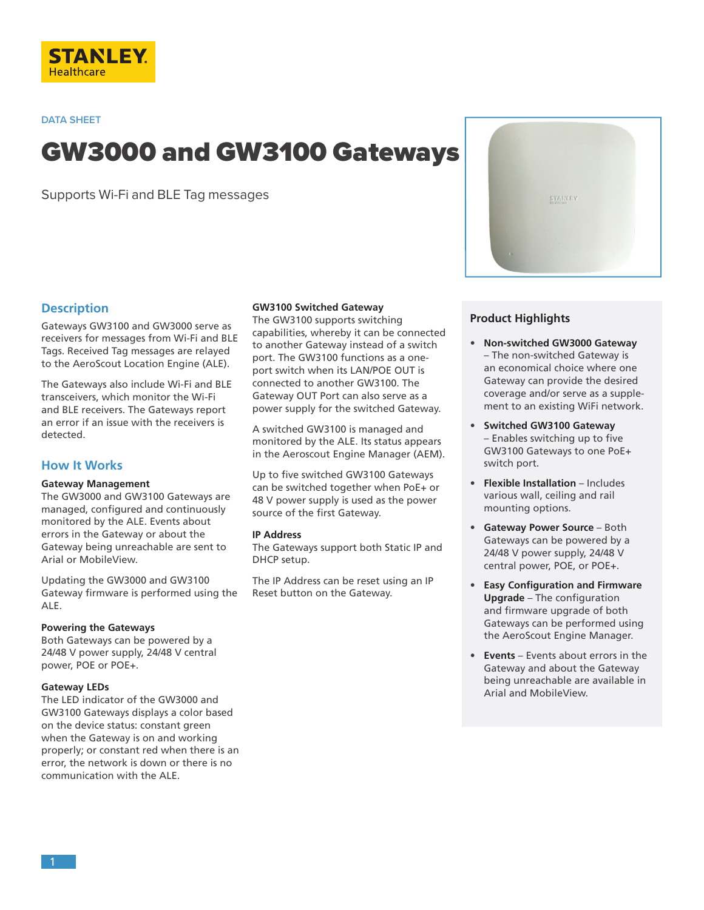

**DATA SHEET**

# GW3000 and GW3100 Gateways

Supports Wi-Fi and BLE Tag messages



## **Description**

Gateways GW3100 and GW3000 serve as receivers for messages from Wi-Fi and BLE Tags. Received Tag messages are relayed to the AeroScout Location Engine (ALE).

The Gateways also include Wi-Fi and BLE transceivers, which monitor the Wi-Fi and BLE receivers. The Gateways report an error if an issue with the receivers is detected.

# **How It Works**

## **Gateway Management**

The GW3000 and GW3100 Gateways are managed, configured and continuously monitored by the ALE. Events about errors in the Gateway or about the Gateway being unreachable are sent to Arial or MobileView.

Updating the GW3000 and GW3100 Gateway firmware is performed using the ALE.

#### **Powering the Gateways**

Both Gateways can be powered by a 24/48 V power supply, 24/48 V central power, POE or POE+.

#### **Gateway LEDs**

The LED indicator of the GW3000 and GW3100 Gateways displays a color based on the device status: constant green when the Gateway is on and working properly; or constant red when there is an error, the network is down or there is no communication with the ALE.

## **GW3100 Switched Gateway**

The GW3100 supports switching capabilities, whereby it can be connected to another Gateway instead of a switch port. The GW3100 functions as a oneport switch when its LAN/POE OUT is connected to another GW3100. The Gateway OUT Port can also serve as a power supply for the switched Gateway.

A switched GW3100 is managed and monitored by the ALE. Its status appears in the Aeroscout Engine Manager (AEM).

Up to five switched GW3100 Gateways can be switched together when PoE+ or 48 V power supply is used as the power source of the first Gateway.

#### **IP Address**

The Gateways support both Static IP and DHCP setup.

The IP Address can be reset using an IP Reset button on the Gateway.

## **Product Highlights**

- **Non-switched GW3000 Gateway**  – The non-switched Gateway is an economical choice where one Gateway can provide the desired coverage and/or serve as a supplement to an existing WiFi network.
- **Switched GW3100 Gateway**  – Enables switching up to five GW3100 Gateways to one PoE+ switch port.
- **Flexible Installation**  Includes various wall, ceiling and rail mounting options.
- **Gateway Power Source** Both Gateways can be powered by a 24/48 V power supply, 24/48 V central power, POE, or POE+.
- **Easy Configuration and Firmware Upgrade** – The configuration and firmware upgrade of both Gateways can be performed using the AeroScout Engine Manager.
- **Events**  Events about errors in the Gateway and about the Gateway being unreachable are available in Arial and MobileView.